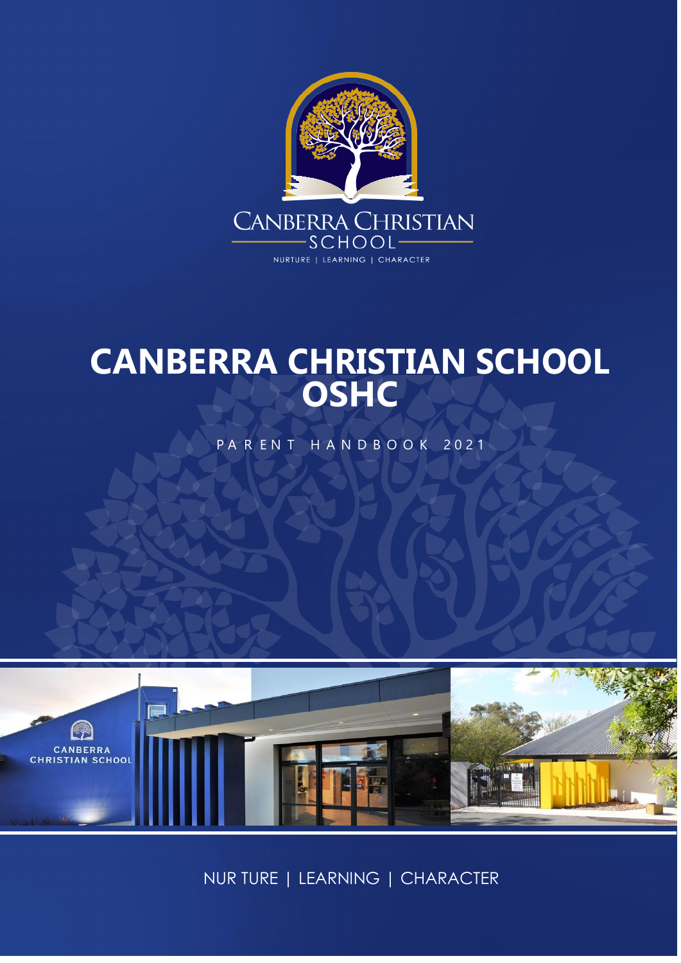

# **CANBERRA CHRISTIAN SCHOOL OSHC**

PARENT HANDBOOK 2021



NUR TURE | LEARNING | CHARACTER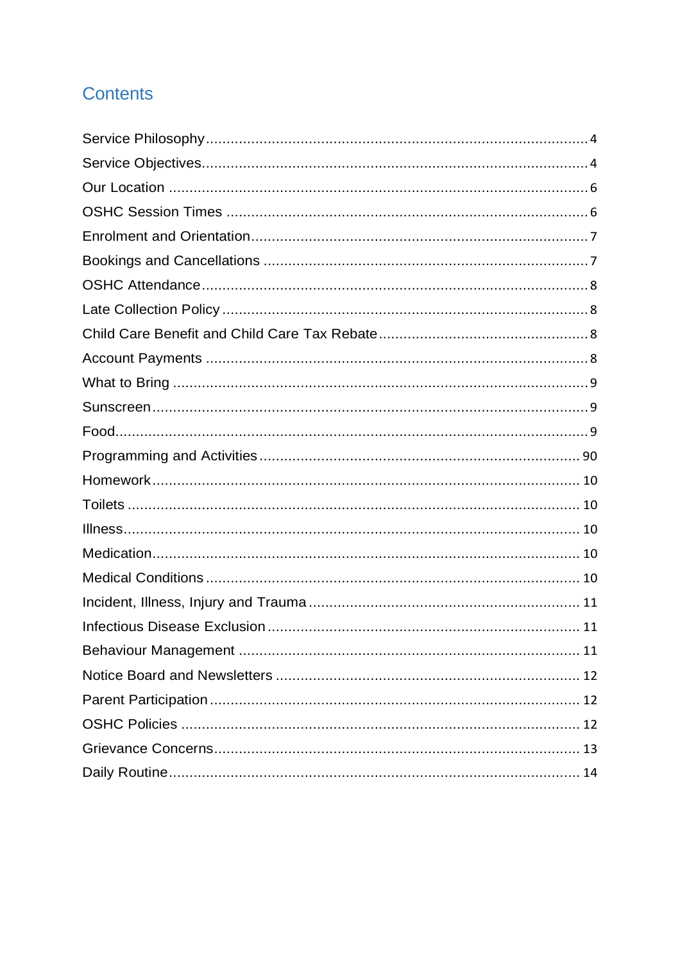# **Contents**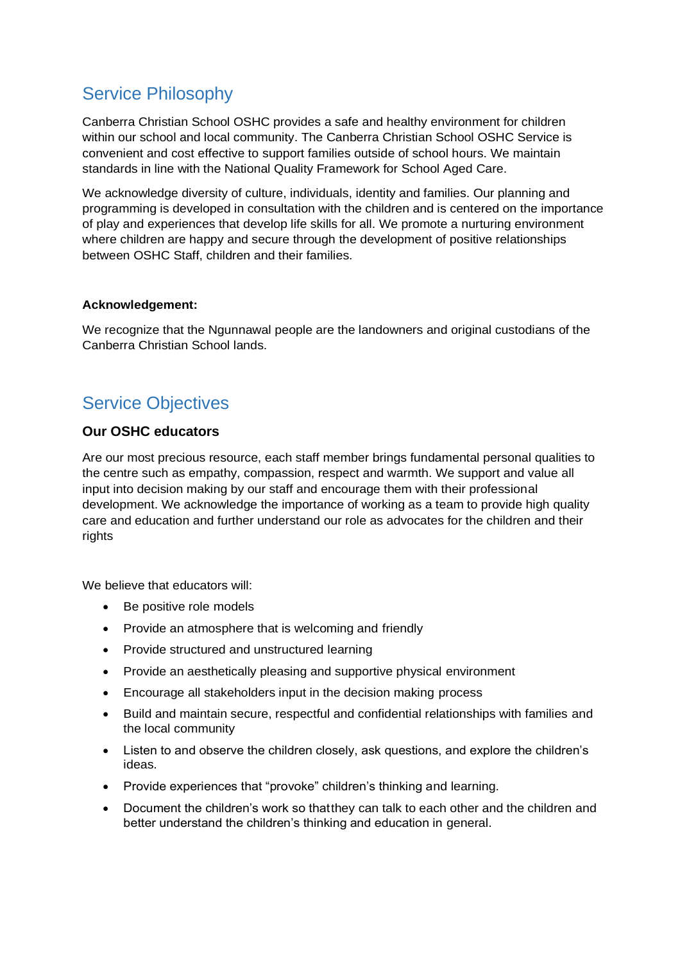# <span id="page-2-0"></span>Service Philosophy

Canberra Christian School OSHC provides a safe and healthy environment for children within our school and local community. The Canberra Christian School OSHC Service is convenient and cost effective to support families outside of school hours. We maintain standards in line with the National Quality Framework for School Aged Care.

We acknowledge diversity of culture, individuals, identity and families. Our planning and programming is developed in consultation with the children and is centered on the importance of play and experiences that develop life skills for all. We promote a nurturing environment where children are happy and secure through the development of positive relationships between OSHC Staff, children and their families.

#### **Acknowledgement:**

We recognize that the Ngunnawal people are the landowners and original custodians of the Canberra Christian School lands.

# <span id="page-2-1"></span>Service Objectives

### **Our OSHC educators**

Are our most precious resource, each staff member brings fundamental personal qualities to the centre such as empathy, compassion, respect and warmth. We support and value all input into decision making by our staff and encourage them with their professional development. We acknowledge the importance of working as a team to provide high quality care and education and further understand our role as advocates for the children and their rights

We believe that educators will:

- Be positive role models
- Provide an atmosphere that is welcoming and friendly
- Provide structured and unstructured learning
- Provide an aesthetically pleasing and supportive physical environment
- Encourage all stakeholders input in the decision making process
- Build and maintain secure, respectful and confidential relationships with families and the local community
- Listen to and observe the children closely, ask questions, and explore the children's ideas.
- Provide experiences that "provoke" children's thinking and learning.
- Document the children's work so thatthey can talk to each other and the children and better understand the children's thinking and education in general.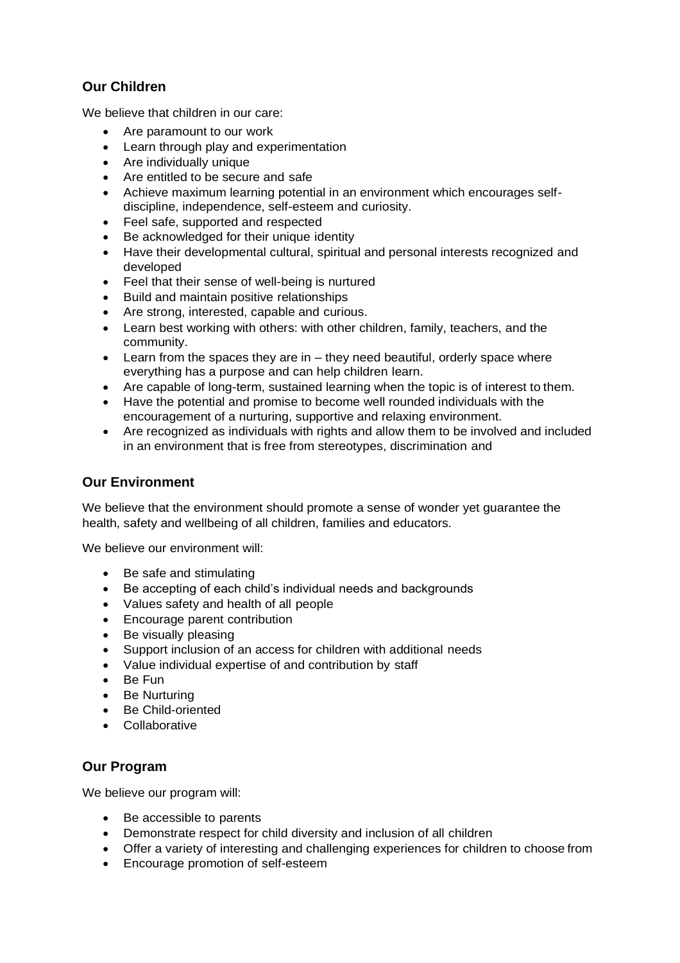### **Our Children**

We believe that children in our care:

- Are paramount to our work
- Learn through play and experimentation
- Are individually unique
- Are entitled to be secure and safe
- Achieve maximum learning potential in an environment which encourages selfdiscipline, independence, self-esteem and curiosity.
- Feel safe, supported and respected
- Be acknowledged for their unique identity
- Have their developmental cultural, spiritual and personal interests recognized and developed
- Feel that their sense of well-being is nurtured
- Build and maintain positive relationships
- Are strong, interested, capable and curious.
- Learn best working with others: with other children, family, teachers, and the community.
- Learn from the spaces they are in they need beautiful, orderly space where everything has a purpose and can help children learn.
- Are capable of long-term, sustained learning when the topic is of interest to them.
- Have the potential and promise to become well rounded individuals with the encouragement of a nurturing, supportive and relaxing environment.
- Are recognized as individuals with rights and allow them to be involved and included in an environment that is free from stereotypes, discrimination and

### **Our Environment**

We believe that the environment should promote a sense of wonder yet guarantee the health, safety and wellbeing of all children, families and educators.

We believe our environment will:

- Be safe and stimulating
- Be accepting of each child's individual needs and backgrounds
- Values safety and health of all people
- Encourage parent contribution
- Be visually pleasing
- Support inclusion of an access for children with additional needs
- Value individual expertise of and contribution by staff
- Be Fun
- Be Nurturing
- Be Child-oriented
- Collaborative

### **Our Program**

We believe our program will:

- Be accessible to parents
- Demonstrate respect for child diversity and inclusion of all children
- Offer a variety of interesting and challenging experiences for children to choose from
- Encourage promotion of self-esteem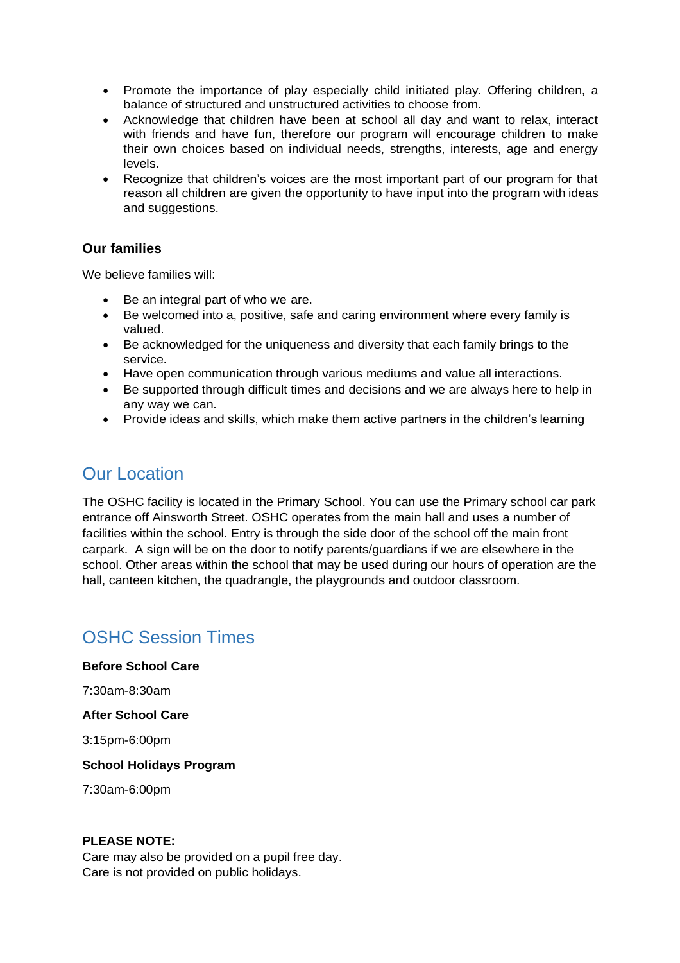- Promote the importance of play especially child initiated play. Offering children, a balance of structured and unstructured activities to choose from.
- Acknowledge that children have been at school all day and want to relax, interact with friends and have fun, therefore our program will encourage children to make their own choices based on individual needs, strengths, interests, age and energy levels.
- Recognize that children's voices are the most important part of our program for that reason all children are given the opportunity to have input into the program with ideas and suggestions.

### **Our families**

We believe families will:

- Be an integral part of who we are.
- Be welcomed into a, positive, safe and caring environment where every family is valued.
- Be acknowledged for the uniqueness and diversity that each family brings to the service.
- Have open communication through various mediums and value all interactions.
- Be supported through difficult times and decisions and we are always here to help in any way we can.
- Provide ideas and skills, which make them active partners in the children's learning

### <span id="page-4-0"></span>Our Location

The OSHC facility is located in the Primary School. You can use the Primary school car park entrance off Ainsworth Street. OSHC operates from the main hall and uses a number of facilities within the school. Entry is through the side door of the school off the main front carpark. A sign will be on the door to notify parents/guardians if we are elsewhere in the school. Other areas within the school that may be used during our hours of operation are the hall, canteen kitchen, the quadrangle, the playgrounds and outdoor classroom.

# <span id="page-4-1"></span>OSHC Session Times

**Before School Care** 

7:30am-8:30am

**After School Care** 

3:15pm-6:00pm

**School Holidays Program**

7:30am-6:00pm

#### **PLEASE NOTE:**

Care may also be provided on a pupil free day. Care is not provided on public holidays.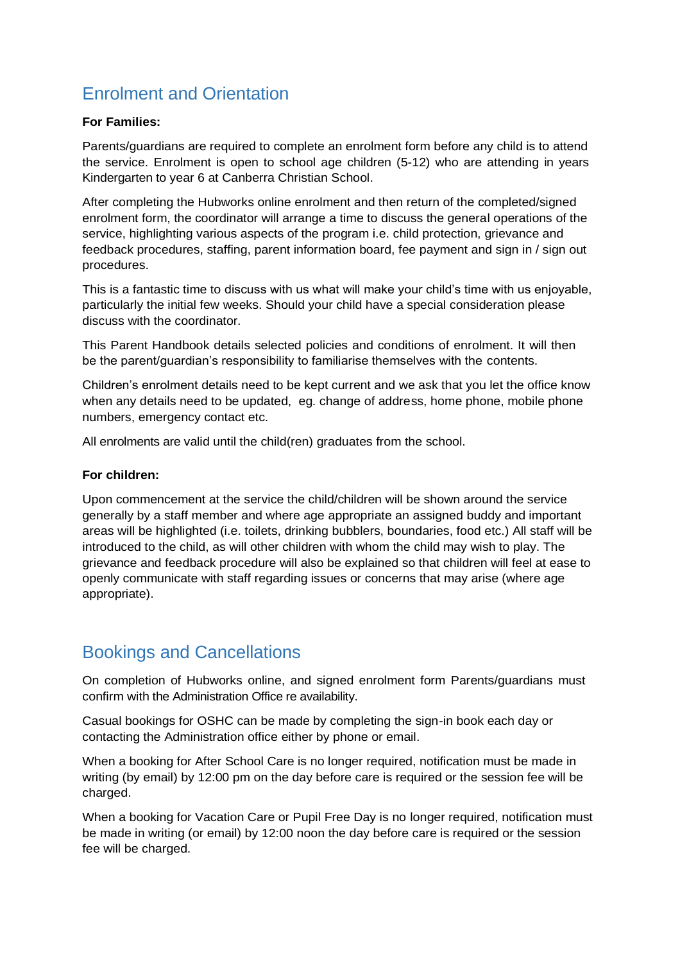# <span id="page-5-0"></span>Enrolment and Orientation

#### **For Families:**

Parents/guardians are required to complete an enrolment form before any child is to attend the service. Enrolment is open to school age children (5-12) who are attending in years Kindergarten to year 6 at Canberra Christian School.

After completing the Hubworks online enrolment and then return of the completed/signed enrolment form, the coordinator will arrange a time to discuss the general operations of the service, highlighting various aspects of the program i.e. child protection, grievance and feedback procedures, staffing, parent information board, fee payment and sign in / sign out procedures.

This is a fantastic time to discuss with us what will make your child's time with us enjoyable, particularly the initial few weeks. Should your child have a special consideration please discuss with the coordinator.

This Parent Handbook details selected policies and conditions of enrolment. It will then be the parent/guardian's responsibility to familiarise themselves with the contents.

Children's enrolment details need to be kept current and we ask that you let the office know when any details need to be updated, eg. change of address, home phone, mobile phone numbers, emergency contact etc.

All enrolments are valid until the child(ren) graduates from the school.

#### **For children:**

Upon commencement at the service the child/children will be shown around the service generally by a staff member and where age appropriate an assigned buddy and important areas will be highlighted (i.e. toilets, drinking bubblers, boundaries, food etc.) All staff will be introduced to the child, as will other children with whom the child may wish to play. The grievance and feedback procedure will also be explained so that children will feel at ease to openly communicate with staff regarding issues or concerns that may arise (where age appropriate).

### <span id="page-5-1"></span>Bookings and Cancellations

On completion of Hubworks online, and signed enrolment form Parents/guardians must confirm with the Administration Office re availability.

Casual bookings for OSHC can be made by completing the sign-in book each day or contacting the Administration office either by phone or email.

When a booking for After School Care is no longer required, notification must be made in writing (by email) by 12:00 pm on the day before care is required or the session fee will be charged.

When a booking for Vacation Care or Pupil Free Day is no longer required, notification must be made in writing (or email) by 12:00 noon the day before care is required or the session fee will be charged.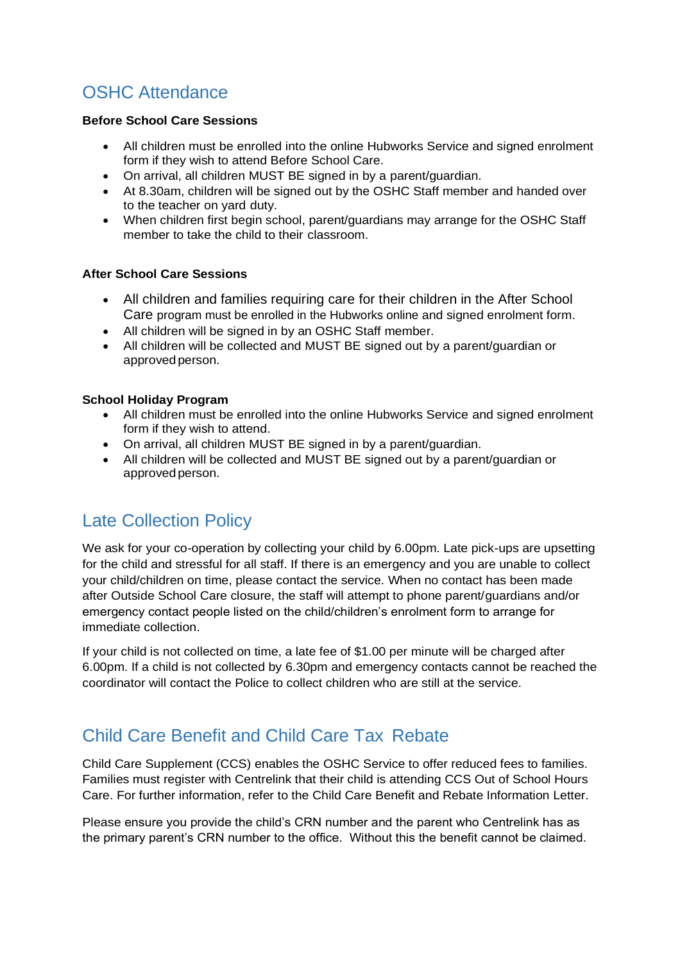# <span id="page-6-0"></span>OSHC Attendance

#### **Before School Care Sessions**

- All children must be enrolled into the online Hubworks Service and signed enrolment form if they wish to attend Before School Care.
- On arrival, all children MUST BE signed in by a parent/guardian.
- At 8.30am, children will be signed out by the OSHC Staff member and handed over to the teacher on yard duty.
- When children first begin school, parent/guardians may arrange for the OSHC Staff member to take the child to their classroom.

#### **After School Care Sessions**

- All children and families requiring care for their children in the After School Care program must be enrolled in the Hubworks online and signed enrolment form.
- All children will be signed in by an OSHC Staff member.
- All children will be collected and MUST BE signed out by a parent/guardian or approvedperson.

#### **School Holiday Program**

- All children must be enrolled into the online Hubworks Service and signed enrolment form if they wish to attend.
- On arrival, all children MUST BE signed in by a parent/guardian.
- All children will be collected and MUST BE signed out by a parent/guardian or approvedperson.

# <span id="page-6-1"></span>Late Collection Policy

We ask for your co-operation by collecting your child by 6.00pm. Late pick-ups are upsetting for the child and stressful for all staff. If there is an emergency and you are unable to collect your child/children on time, please contact the service. When no contact has been made after Outside School Care closure, the staff will attempt to phone parent/guardians and/or emergency contact people listed on the child/children's enrolment form to arrange for immediate collection.

If your child is not collected on time, a late fee of \$1.00 per minute will be charged after 6.00pm. If a child is not collected by 6.30pm and emergency contacts cannot be reached the coordinator will contact the Police to collect children who are still at the service.

# <span id="page-6-2"></span>Child Care Benefit and Child Care Tax Rebate

Child Care Supplement (CCS) enables the OSHC Service to offer reduced fees to families. Families must register with Centrelink that their child is attending CCS Out of School Hours Care. For further information, refer to the Child Care Benefit and Rebate Information Letter.

Please ensure you provide the child's CRN number and the parent who Centrelink has as the primary parent's CRN number to the office. Without this the benefit cannot be claimed.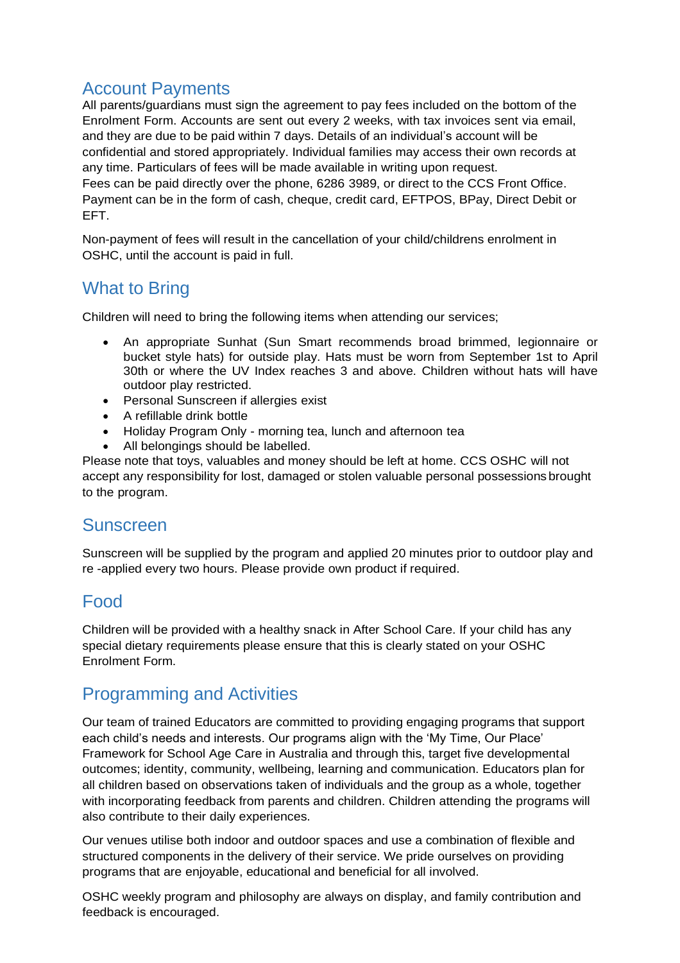### <span id="page-7-0"></span>Account Payments

All parents/guardians must sign the agreement to pay fees included on the bottom of the Enrolment Form. Accounts are sent out every 2 weeks, with tax invoices sent via email, and they are due to be paid within 7 days. Details of an individual's account will be confidential and stored appropriately. Individual families may access their own records at any time. Particulars of fees will be made available in writing upon request. Fees can be paid directly over the phone, 6286 3989, or direct to the CCS Front Office. Payment can be in the form of cash, cheque, credit card, EFTPOS, BPay, Direct Debit or EFT.

Non-payment of fees will result in the cancellation of your child/childrens enrolment in OSHC, until the account is paid in full.

# <span id="page-7-1"></span>What to Bring

Children will need to bring the following items when attending our services;

- An appropriate Sunhat (Sun Smart recommends broad brimmed, legionnaire or bucket style hats) for outside play. Hats must be worn from September 1st to April 30th or where the UV Index reaches 3 and above. Children without hats will have outdoor play restricted.
- Personal Sunscreen if allergies exist
- A refillable drink bottle
- Holiday Program Only morning tea, lunch and afternoon tea
- All belongings should be labelled.

Please note that toys, valuables and money should be left at home. CCS OSHC will not accept any responsibility for lost, damaged or stolen valuable personal possessions brought to the program.

### <span id="page-7-2"></span>Sunscreen

Sunscreen will be supplied by the program and applied 20 minutes prior to outdoor play and re -applied every two hours. Please provide own product if required.

# <span id="page-7-3"></span>Food

Children will be provided with a healthy snack in After School Care. If your child has any special dietary requirements please ensure that this is clearly stated on your OSHC Enrolment Form.

### <span id="page-7-4"></span>Programming and Activities

Our team of trained Educators are committed to providing engaging programs that support each child's needs and interests. Our programs align with the 'My Time, Our Place' Framework for School Age Care in Australia and through this, target five developmental outcomes; identity, community, wellbeing, learning and communication. Educators plan for all children based on observations taken of individuals and the group as a whole, together with incorporating feedback from parents and children. Children attending the programs will also contribute to their daily experiences.

Our venues utilise both indoor and outdoor spaces and use a combination of flexible and structured components in the delivery of their service. We pride ourselves on providing programs that are enjoyable, educational and beneficial for all involved.

OSHC weekly program and philosophy are always on display, and family contribution and feedback is encouraged.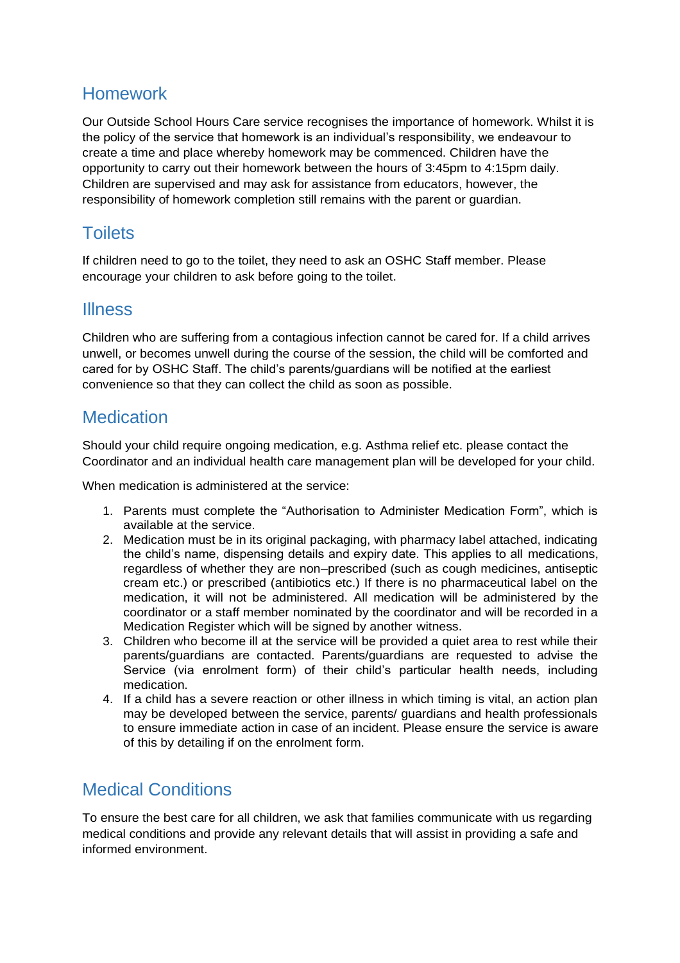## <span id="page-8-0"></span>Homework

Our Outside School Hours Care service recognises the importance of homework. Whilst it is the policy of the service that homework is an individual's responsibility, we endeavour to create a time and place whereby homework may be commenced. Children have the opportunity to carry out their homework between the hours of 3:45pm to 4:15pm daily. Children are supervised and may ask for assistance from educators, however, the responsibility of homework completion still remains with the parent or guardian.

### <span id="page-8-1"></span>**Toilets**

If children need to go to the toilet, they need to ask an OSHC Staff member. Please encourage your children to ask before going to the toilet.

### <span id="page-8-2"></span>**Illness**

Children who are suffering from a contagious infection cannot be cared for. If a child arrives unwell, or becomes unwell during the course of the session, the child will be comforted and cared for by OSHC Staff. The child's parents/guardians will be notified at the earliest convenience so that they can collect the child as soon as possible.

### <span id="page-8-3"></span>**Medication**

Should your child require ongoing medication, e.g. Asthma relief etc. please contact the Coordinator and an individual health care management plan will be developed for your child.

When medication is administered at the service:

- 1. Parents must complete the "Authorisation to Administer Medication Form", which is available at the service.
- 2. Medication must be in its original packaging, with pharmacy label attached, indicating the child's name, dispensing details and expiry date. This applies to all medications, regardless of whether they are non–prescribed (such as cough medicines, antiseptic cream etc.) or prescribed (antibiotics etc.) If there is no pharmaceutical label on the medication, it will not be administered. All medication will be administered by the coordinator or a staff member nominated by the coordinator and will be recorded in a Medication Register which will be signed by another witness.
- 3. Children who become ill at the service will be provided a quiet area to rest while their parents/guardians are contacted. Parents/guardians are requested to advise the Service (via enrolment form) of their child's particular health needs, including medication.
- 4. If a child has a severe reaction or other illness in which timing is vital, an action plan may be developed between the service, parents/ guardians and health professionals to ensure immediate action in case of an incident. Please ensure the service is aware of this by detailing if on the enrolment form.

# <span id="page-8-4"></span>Medical Conditions

To ensure the best care for all children, we ask that families communicate with us regarding medical conditions and provide any relevant details that will assist in providing a safe and informed environment.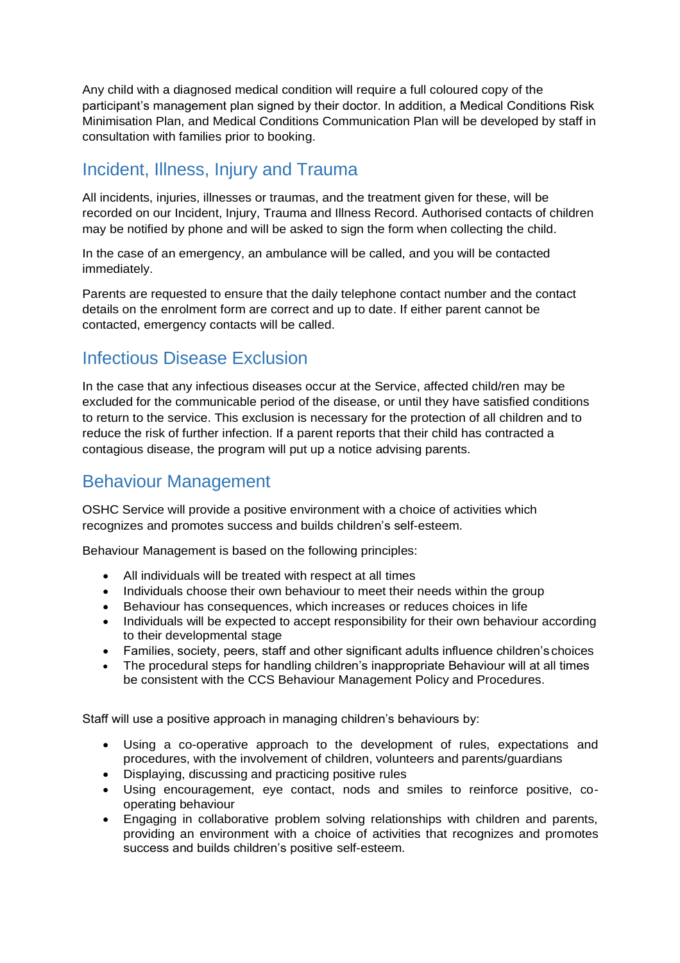Any child with a diagnosed medical condition will require a full coloured copy of the participant's management plan signed by their doctor. In addition, a Medical Conditions Risk Minimisation Plan, and Medical Conditions Communication Plan will be developed by staff in consultation with families prior to booking.

# <span id="page-9-0"></span>Incident, Illness, Injury and Trauma

All incidents, injuries, illnesses or traumas, and the treatment given for these, will be recorded on our Incident, Injury, Trauma and Illness Record. Authorised contacts of children may be notified by phone and will be asked to sign the form when collecting the child.

In the case of an emergency, an ambulance will be called, and you will be contacted immediately.

Parents are requested to ensure that the daily telephone contact number and the contact details on the enrolment form are correct and up to date. If either parent cannot be contacted, emergency contacts will be called.

# <span id="page-9-1"></span>Infectious Disease Exclusion

In the case that any infectious diseases occur at the Service, affected child/ren may be excluded for the communicable period of the disease, or until they have satisfied conditions to return to the service. This exclusion is necessary for the protection of all children and to reduce the risk of further infection. If a parent reports that their child has contracted a contagious disease, the program will put up a notice advising parents.

## <span id="page-9-2"></span>Behaviour Management

OSHC Service will provide a positive environment with a choice of activities which recognizes and promotes success and builds children's self-esteem.

Behaviour Management is based on the following principles:

- All individuals will be treated with respect at all times
- Individuals choose their own behaviour to meet their needs within the group
- Behaviour has consequences, which increases or reduces choices in life
- Individuals will be expected to accept responsibility for their own behaviour according to their developmental stage
- Families, society, peers, staff and other significant adults influence children's choices
- The procedural steps for handling children's inappropriate Behaviour will at all times be consistent with the CCS Behaviour Management Policy and Procedures.

Staff will use a positive approach in managing children's behaviours by:

- Using a co-operative approach to the development of rules, expectations and procedures, with the involvement of children, volunteers and parents/guardians
- Displaying, discussing and practicing positive rules
- Using encouragement, eye contact, nods and smiles to reinforce positive, cooperating behaviour
- Engaging in collaborative problem solving relationships with children and parents, providing an environment with a choice of activities that recognizes and promotes success and builds children's positive self-esteem.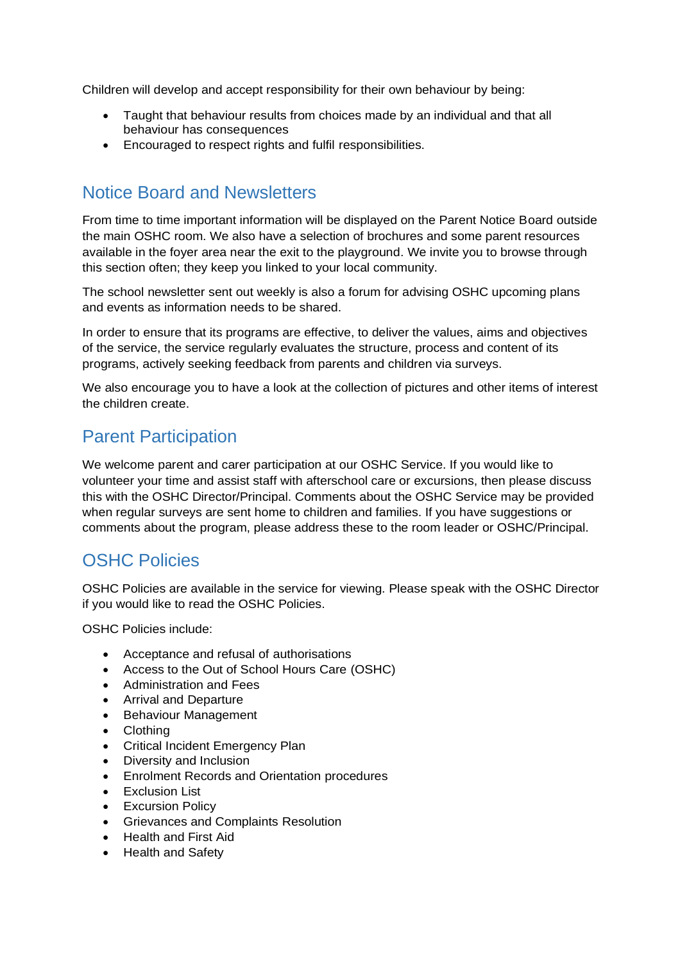Children will develop and accept responsibility for their own behaviour by being:

- Taught that behaviour results from choices made by an individual and that all behaviour has consequences
- Encouraged to respect rights and fulfil responsibilities.

## <span id="page-10-0"></span>Notice Board and Newsletters

From time to time important information will be displayed on the Parent Notice Board outside the main OSHC room. We also have a selection of brochures and some parent resources available in the foyer area near the exit to the playground. We invite you to browse through this section often; they keep you linked to your local community.

The school newsletter sent out weekly is also a forum for advising OSHC upcoming plans and events as information needs to be shared.

In order to ensure that its programs are effective, to deliver the values, aims and objectives of the service, the service regularly evaluates the structure, process and content of its programs, actively seeking feedback from parents and children via surveys.

We also encourage you to have a look at the collection of pictures and other items of interest the children create.

### <span id="page-10-1"></span>Parent Participation

We welcome parent and carer participation at our OSHC Service. If you would like to volunteer your time and assist staff with afterschool care or excursions, then please discuss this with the OSHC Director/Principal. Comments about the OSHC Service may be provided when regular surveys are sent home to children and families. If you have suggestions or comments about the program, please address these to the room leader or OSHC/Principal.

# <span id="page-10-2"></span>OSHC Policies

OSHC Policies are available in the service for viewing. Please speak with the OSHC Director if you would like to read the OSHC Policies.

OSHC Policies include:

- Acceptance and refusal of authorisations
- Access to the Out of School Hours Care (OSHC)
- Administration and Fees
- Arrival and Departure
- Behaviour Management
- Clothing
- Critical Incident Emergency Plan
- Diversity and Inclusion
- Enrolment Records and Orientation procedures
- Exclusion List
- Excursion Policy
- Grievances and Complaints Resolution
- Health and First Aid
- Health and Safety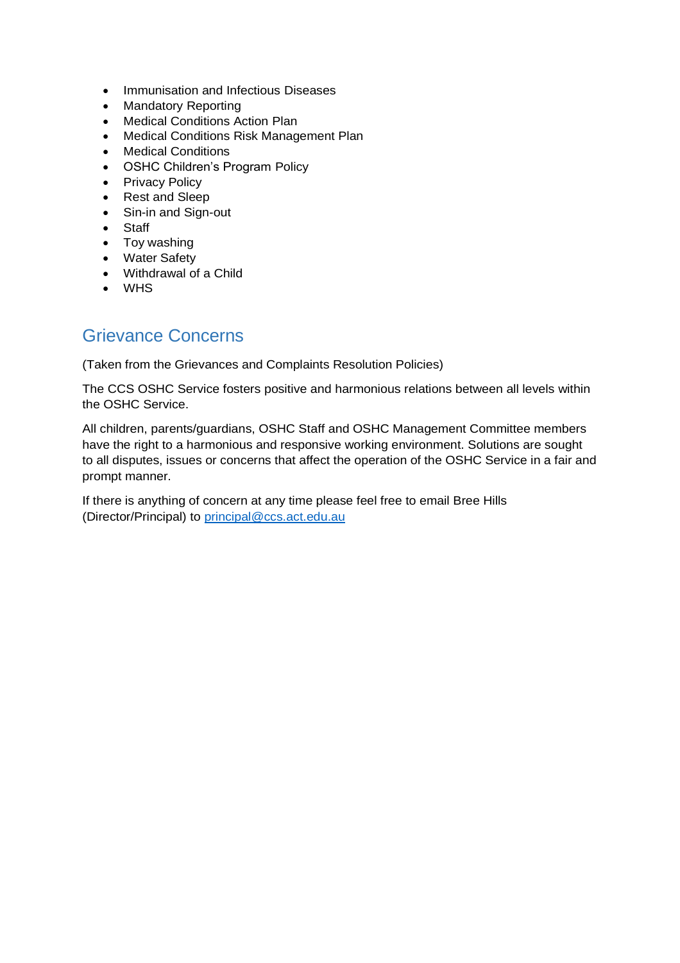- Immunisation and Infectious Diseases
- Mandatory Reporting
- Medical Conditions Action Plan
- Medical Conditions Risk Management Plan
- Medical Conditions
- OSHC Children's Program Policy
- Privacy Policy
- Rest and Sleep
- Sin-in and Sign-out
- Staff
- Toy washing
- Water Safety
- Withdrawal of a Child
- WHS

### <span id="page-11-0"></span>Grievance Concerns

(Taken from the Grievances and Complaints Resolution Policies)

The CCS OSHC Service fosters positive and harmonious relations between all levels within the OSHC Service.

All children, parents/guardians, OSHC Staff and OSHC Management Committee members have the right to a harmonious and responsive working environment. Solutions are sought to all disputes, issues or concerns that affect the operation of the OSHC Service in a fair and prompt manner.

If there is anything of concern at any time please feel free to email Bree Hills (Director/Principal) to [principal@ccs.act.edu.au](mailto:principal@ccs.act.edu.au)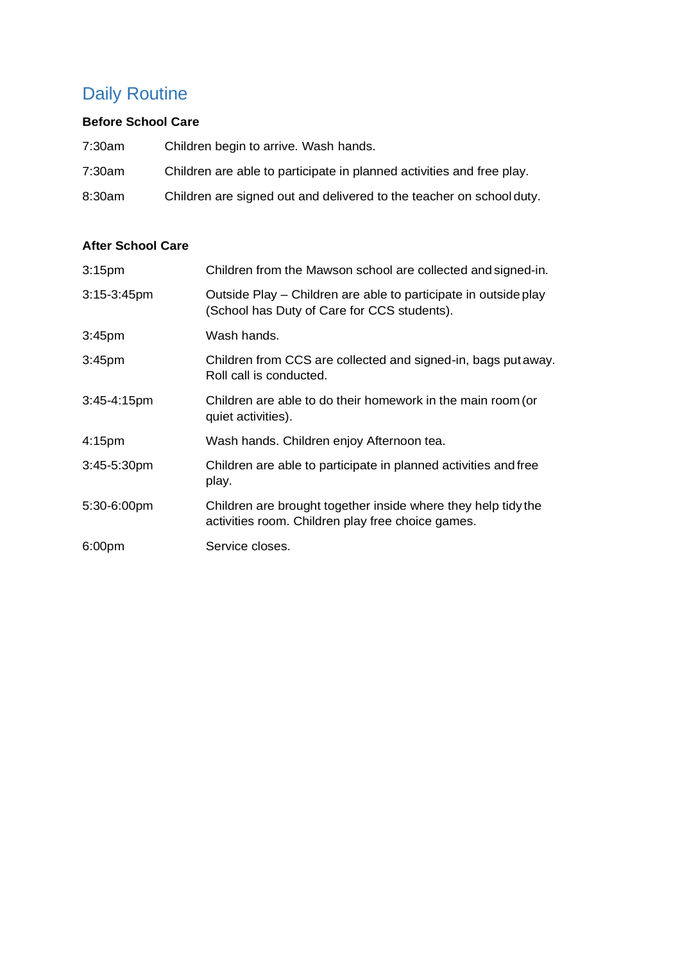# <span id="page-12-0"></span>Daily Routine

### **Before School Care**

| 7:30am | Children begin to arrive. Wash hands.                                 |
|--------|-----------------------------------------------------------------------|
| 7:30am | Children are able to participate in planned activities and free play. |
| 8:30am | Children are signed out and delivered to the teacher on school duty.  |

### **After School Care**

| 3:15 <sub>pm</sub> | Children from the Mawson school are collected and signed-in.                                                       |
|--------------------|--------------------------------------------------------------------------------------------------------------------|
| $3:15-3:45$ pm     | Outside Play – Children are able to participate in outside play<br>(School has Duty of Care for CCS students).     |
| 3:45 <sub>pm</sub> | Wash hands.                                                                                                        |
| 3:45 <sub>pm</sub> | Children from CCS are collected and signed-in, bags put away.<br>Roll call is conducted.                           |
| 3:45-4:15pm        | Children are able to do their homework in the main room (or<br>quiet activities).                                  |
| 4:15 <sub>pm</sub> | Wash hands. Children enjoy Afternoon tea.                                                                          |
| $3:45-5:30$ pm     | Children are able to participate in planned activities and free<br>play.                                           |
| 5:30-6:00pm        | Children are brought together inside where they help tidy the<br>activities room. Children play free choice games. |
| 6:00 <sub>pm</sub> | Service closes.                                                                                                    |